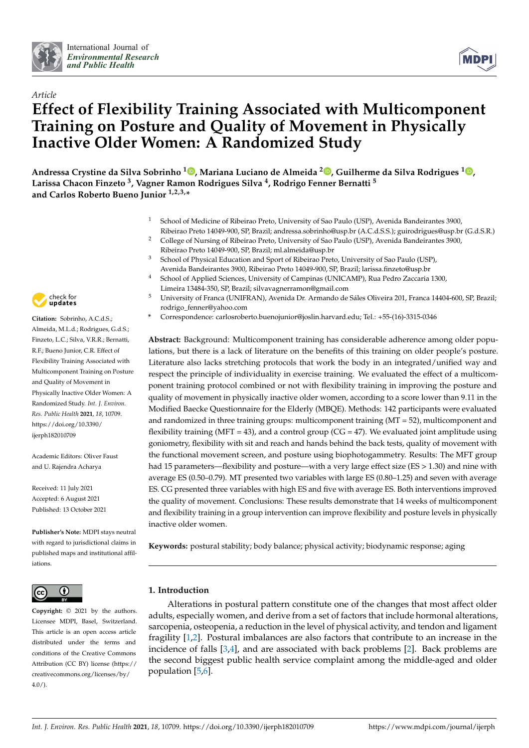



# *Article* **Effect of Flexibility Training Associated with Multicomponent Training on Posture and Quality of Movement in Physically Inactive Older Women: A Randomized Study**

**Andressa Crystine da Silva Sobrinho <sup>1</sup> [,](https://orcid.org/0000-0002-4532-539X) Mariana Luciano de Almeida <sup>2</sup> [,](https://orcid.org/0000-0002-9690-0163) Guilherme da Silva Rodrigues <sup>1</sup> [,](https://orcid.org/0000-0002-9931-4709) Larissa Chacon Finzeto <sup>3</sup> , Vagner Ramon Rodrigues Silva <sup>4</sup> , Rodrigo Fenner Bernatti <sup>5</sup> and Carlos Roberto Bueno Junior 1,2,3,\***

- <sup>1</sup> School of Medicine of Ribeirao Preto, University of Sao Paulo (USP), Avenida Bandeirantes 3900, Ribeirao Preto 14049-900, SP, Brazil; andressa.sobrinho@usp.br (A.C.d.S.S.); guirodrigues@usp.br (G.d.S.R.)
- <sup>2</sup> College of Nursing of Ribeirao Preto, University of Sao Paulo (USP), Avenida Bandeirantes 3900, Ribeirao Preto 14049-900, SP, Brazil; ml.almeida@usp.br
- <sup>3</sup> School of Physical Education and Sport of Ribeirao Preto, University of Sao Paulo (USP), Avenida Bandeirantes 3900, Ribeirao Preto 14049-900, SP, Brazil; larissa.finzeto@usp.br
- <sup>4</sup> School of Applied Sciences, University of Campinas (UNICAMP), Rua Pedro Zaccaria 1300, Limeira 13484-350, SP, Brazil; silvavagnerramon@gmail.com
- <sup>5</sup> University of Franca (UNIFRAN), Avenida Dr. Armando de Sáles Oliveira 201, Franca 14404-600, SP, Brazil; rodrigo\_fenner@yahoo.com
- **\*** Correspondence: carlosroberto.buenojunior@joslin.harvard.edu; Tel.: +55-(16)-3315-0346

**Abstract:** Background: Multicomponent training has considerable adherence among older populations, but there is a lack of literature on the benefits of this training on older people's posture. Literature also lacks stretching protocols that work the body in an integrated/unified way and respect the principle of individuality in exercise training. We evaluated the effect of a multicomponent training protocol combined or not with flexibility training in improving the posture and quality of movement in physically inactive older women, according to a score lower than 9.11 in the Modified Baecke Questionnaire for the Elderly (MBQE). Methods: 142 participants were evaluated and randomized in three training groups: multicomponent training (MT = 52), multicomponent and flexibility training (MFT = 43), and a control group (CG = 47). We evaluated joint amplitude using goniometry, flexibility with sit and reach and hands behind the back tests, quality of movement with the functional movement screen, and posture using biophotogammetry. Results: The MFT group had 15 parameters—flexibility and posture—with a very large effect size (ES > 1.30) and nine with average ES (0.50–0.79). MT presented two variables with large ES (0.80–1.25) and seven with average ES. CG presented three variables with high ES and five with average ES. Both interventions improved the quality of movement. Conclusions: These results demonstrate that 14 weeks of multicomponent and flexibility training in a group intervention can improve flexibility and posture levels in physically inactive older women.

**Keywords:** postural stability; body balance; physical activity; biodynamic response; aging

#### $\bf{G}$  $|$  (cc)

**Copyright:** © 2021 by the authors. Licensee MDPI, Basel, Switzerland. This article is an open access article distributed under the terms and conditions of the Creative Commons Attribution (CC BY) license (https:/[/](https://creativecommons.org/licenses/by/4.0/) [creativecommons.org/licenses/by/](https://creativecommons.org/licenses/by/4.0/)  $4.0/$ ).

## **1. Introduction**

Alterations in postural pattern constitute one of the changes that most affect older adults, especially women, and derive from a set of factors that include hormonal alterations, sarcopenia, osteopenia, a reduction in the level of physical activity, and tendon and ligament fragility [\[1,](#page-10-0)[2\]](#page-10-1). Postural imbalances are also factors that contribute to an increase in the incidence of falls [\[3](#page-10-2)[,4\]](#page-10-3), and are associated with back problems [\[2\]](#page-10-1). Back problems are the second biggest public health service complaint among the middle-aged and older population [\[5](#page-10-4)[,6\]](#page-10-5).



**Citation:** Sobrinho, A.C.d.S.; Almeida, M.L.d.; Rodrigues, G.d.S.; Finzeto, L.C.; Silva, V.R.R.; Bernatti, R.F.; Bueno Junior, C.R. Effect of Flexibility Training Associated with Multicomponent Training on Posture and Quality of Movement in Physically Inactive Older Women: A Randomized Study. *Int. J. Environ. Res. Public Health* **2021**, *18*, 10709. [https://doi.org/10.3390/](https://doi.org/10.3390/ijerph182010709) [ijerph182010709](https://doi.org/10.3390/ijerph182010709)

Academic Editors: Oliver Faust and U. Rajendra Acharya

Received: 11 July 2021 Accepted: 6 August 2021 Published: 13 October 2021

**Publisher's Note:** MDPI stays neutral with regard to jurisdictional claims in published maps and institutional affiliations.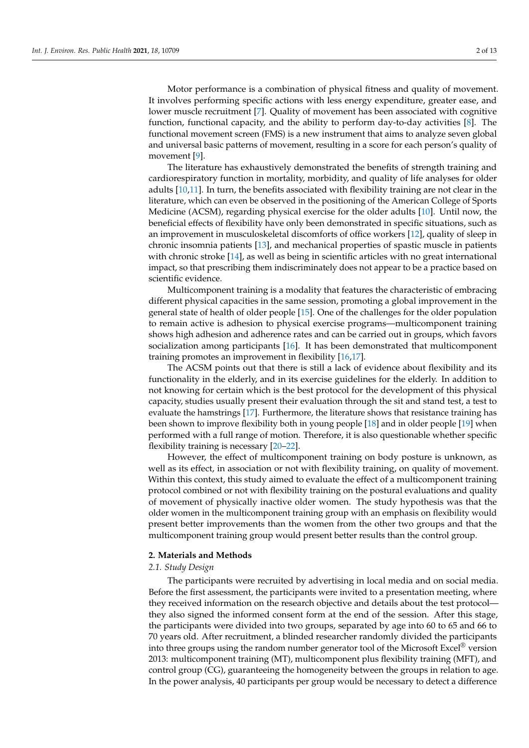Motor performance is a combination of physical fitness and quality of movement. It involves performing specific actions with less energy expenditure, greater ease, and lower muscle recruitment [\[7\]](#page-10-6). Quality of movement has been associated with cognitive function, functional capacity, and the ability to perform day-to-day activities [\[8\]](#page-10-7). The functional movement screen (FMS) is a new instrument that aims to analyze seven global and universal basic patterns of movement, resulting in a score for each person's quality of movement [\[9\]](#page-10-8).

The literature has exhaustively demonstrated the benefits of strength training and cardiorespiratory function in mortality, morbidity, and quality of life analyses for older adults [\[10](#page-10-9)[,11\]](#page-11-0). In turn, the benefits associated with flexibility training are not clear in the literature, which can even be observed in the positioning of the American College of Sports Medicine (ACSM), regarding physical exercise for the older adults [\[10\]](#page-10-9). Until now, the beneficial effects of flexibility have only been demonstrated in specific situations, such as an improvement in musculoskeletal discomforts of office workers [\[12\]](#page-11-1), quality of sleep in chronic insomnia patients [\[13\]](#page-11-2), and mechanical properties of spastic muscle in patients with chronic stroke [\[14\]](#page-11-3), as well as being in scientific articles with no great international impact, so that prescribing them indiscriminately does not appear to be a practice based on scientific evidence.

Multicomponent training is a modality that features the characteristic of embracing different physical capacities in the same session, promoting a global improvement in the general state of health of older people [\[15\]](#page-11-4). One of the challenges for the older population to remain active is adhesion to physical exercise programs—multicomponent training shows high adhesion and adherence rates and can be carried out in groups, which favors socialization among participants [\[16\]](#page-11-5). It has been demonstrated that multicomponent training promotes an improvement in flexibility [\[16](#page-11-5)[,17\]](#page-11-6).

The ACSM points out that there is still a lack of evidence about flexibility and its functionality in the elderly, and in its exercise guidelines for the elderly. In addition to not knowing for certain which is the best protocol for the development of this physical capacity, studies usually present their evaluation through the sit and stand test, a test to evaluate the hamstrings [\[17\]](#page-11-6). Furthermore, the literature shows that resistance training has been shown to improve flexibility both in young people [\[18\]](#page-11-7) and in older people [\[19\]](#page-11-8) when performed with a full range of motion. Therefore, it is also questionable whether specific flexibility training is necessary [\[20](#page-11-9)[–22\]](#page-11-10).

However, the effect of multicomponent training on body posture is unknown, as well as its effect, in association or not with flexibility training, on quality of movement. Within this context, this study aimed to evaluate the effect of a multicomponent training protocol combined or not with flexibility training on the postural evaluations and quality of movement of physically inactive older women. The study hypothesis was that the older women in the multicomponent training group with an emphasis on flexibility would present better improvements than the women from the other two groups and that the multicomponent training group would present better results than the control group.

#### **2. Materials and Methods**

## *2.1. Study Design*

The participants were recruited by advertising in local media and on social media. Before the first assessment, the participants were invited to a presentation meeting, where they received information on the research objective and details about the test protocol they also signed the informed consent form at the end of the session. After this stage, the participants were divided into two groups, separated by age into 60 to 65 and 66 to 70 years old. After recruitment, a blinded researcher randomly divided the participants into three groups using the random number generator tool of the Microsoft Excel<sup>®</sup> version 2013: multicomponent training (MT), multicomponent plus flexibility training (MFT), and control group (CG), guaranteeing the homogeneity between the groups in relation to age. In the power analysis, 40 participants per group would be necessary to detect a difference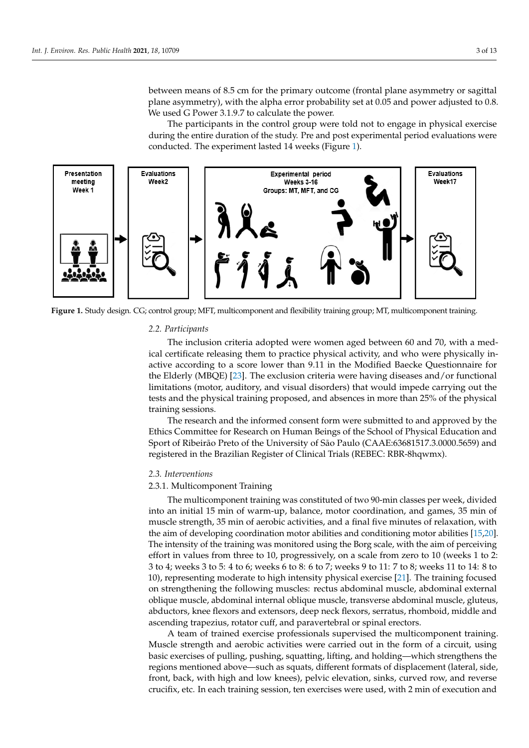between means of 8.5 cm for the primary outcome (frontal plane asymmetry or sagittal between means of 8.5 cm for the primary outcome (frontal plane asymmetry or sagittal plane asymmetry), with the alpha error probability set at 0.05 and power adjusted to 0.8. plane asymmetry), with the alpha error probability set at 0.05 and power adjusted to 0.8. We used G Power 3.1.9.7 to calculate the power. We used G Power 3.1.9.7 to calculate the power.

The participants in the control group were told not to engage in physical exercise The participants in the control group were told not to engage in physical exercise during the entire duration of the study. Pre and post experimental period evaluations were during the entire duration of the study. Pre and post experimental period evaluations conducted. The experiment lasted 14 weeks ([Fig](#page-2-0)ure 1).

<span id="page-2-0"></span>

**Figure 1.** Study design. CG; control group; MFT, multicomponent and flexibility training group; MT, multicomponent training.

## **Figure 1.** Study design**.** CG; control group; MFT, multicomponent and flexibility training group; MT, multicomponent *2.2. Participants*

ical certificate releasing them to practice physical activity, and who were physically in-the Elderly (MBQE) [\[23\]](#page-11-11). The exclusion criteria were having diseases and/or functional limitations (motor, auditory, and visual disorders) that would impede carrying out the tests and the physical training proposed, and absences in more than 25% of the physical  $\lim_{z \to z_0} \frac{1}{z}$ The inclusion criteria adopted were women aged between 60 and 70, with a medactive according to a score lower than 9.11 in the Modified Baecke Questionnaire for

The research and the informed consent form were submitted to and approved by the Ethics Committee for Research on Human Beings of the School of Physical Education and Sport of Ribeirão Preto of the University of São Paulo (CAAE:63681517.3.0000.5659) and registered in the Brazilian Register of Clinical Trials (REBEC: RBR-8hqwmx).

Sport of Ribeirão Preto of the University of São Paulo (CAAE:63681517.3.0000.5659) and

### registered in the Brazilian Register of Clinical Trials (REBEC: RBR-8hqwmx). *2.3. Interventions*

## 2.3.1. Multicomponent Training

The multicomponent training was constituted of two 90-min classes per week, divided into an initial 15 min of warm-up, balance, motor coordination, and games, 35 min of muscle strength, 35 min of aerobic activities, and a final five minutes of relaxation, with the aim of developing coordination motor abilities and conditioning motor abilities  $[15,20]$  $[15,20]$ . The intensity of the training was monitored using the Borg scale, with the aim of perceiving effort in values from three to 10, progressively, on a scale from zero to 10 (weeks 1 to 2: 3 to 4; weeks 3 to 5: 4 to 6; weeks 6 to 8: 6 to 7; weeks 9 to 11: 7 to 8; weeks 11 to 14: 8 to 10), representing moderate to high intensity physical exercise [\[21\]](#page-11-12). The training focused on strengthening the following muscles: rectus abdominal muscle, abdominal external oblique muscle, abdominal internal oblique muscle, transverse abdominal muscle, gluteus, abductors, knee flexors and extensors, deep neck flexors, serratus, rhomboid, middle and<br>... ascending trapezius, rotator cuff, and paravertebral or spinal erectors.<br>As the muscle of the muscle muscle, transverse parameters and the muscle of the muscle of the muscle of the mu

A team of trained exercise professionals supervised the multicomponent training. Muscle strength and aerobic activities were carried out in the form of a circuit, using<br>hast currence of palling angeliae constitues little and halding and ich strength as the basic exercises of pulling, pushing, squatting, lifting, and holding—which strengthens the<br>services were there is have a surely second to different formate of direct served (lateral side regions mentioned above—such as squats, different formats of displacement (lateral, side, front, back, with high and low knees), pelvic elevation, sinks, curved row, and reverse crucifix, etc. In each training session, ten exercises were used, with 2 min of execution and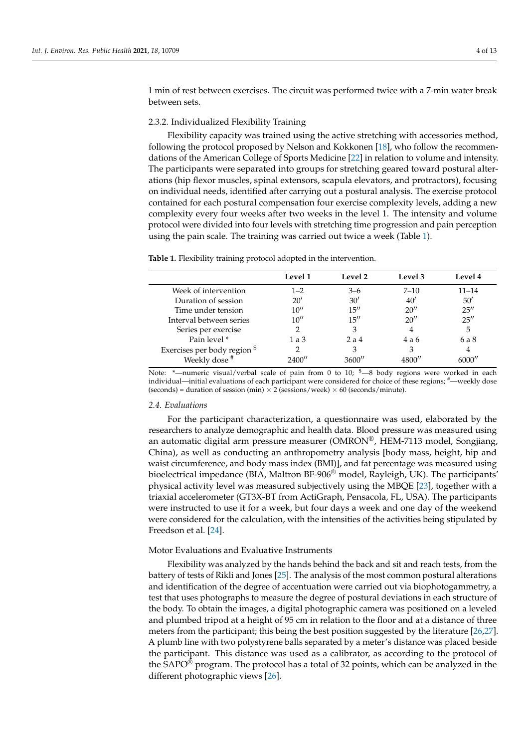1 min of rest between exercises. The circuit was performed twice with a 7-min water break between sets.

## 2.3.2. Individualized Flexibility Training

Flexibility capacity was trained using the active stretching with accessories method, following the protocol proposed by Nelson and Kokkonen [\[18\]](#page-11-7), who follow the recommendations of the American College of Sports Medicine [\[22\]](#page-11-10) in relation to volume and intensity. The participants were separated into groups for stretching geared toward postural alterations (hip flexor muscles, spinal extensors, scapula elevators, and protractors), focusing on individual needs, identified after carrying out a postural analysis. The exercise protocol contained for each postural compensation four exercise complexity levels, adding a new complexity every four weeks after two weeks in the level 1. The intensity and volume protocol were divided into four levels with stretching time progression and pain perception using the pain scale. The training was carried out twice a week (Table [1\)](#page-3-0).

|                              | Level 1 | Level 2 | Level 3  | Level 4   |
|------------------------------|---------|---------|----------|-----------|
| Week of intervention         | $1 - 2$ | $3 - 6$ | $7 - 10$ | $11 - 14$ |
| Duration of session          | 20'     | 30'     | 40'      | 50'       |
| Time under tension           | 10''    | 15''    | 20''     | 25''      |
| Interval between series      | 10''    | 15''    | 20''     | 25''      |
| Series per exercise          |         | 3       | 4        | 5         |
| Pain level *                 | 1a3     | 2a4     | 4 a 6    | 6 a 8     |
| Exercises per body region \$ |         | 3       |          |           |
| Weekly dose <sup>#</sup>     | 2400''  | 3600″   | 1800'    | 6000′′    |

<span id="page-3-0"></span>**Table 1.** Flexibility training protocol adopted in the intervention.

Note: \*--numeric visual/verbal scale of pain from 0 to 10; \$-8 body regions were worked in each individual—initial evaluations of each participant were considered for choice of these regions; #—weekly dose (seconds) = duration of session (min)  $\times$  2 (sessions/week)  $\times$  60 (seconds/minute).

#### *2.4. Evaluations*

For the participant characterization, a questionnaire was used, elaborated by the researchers to analyze demographic and health data. Blood pressure was measured using an automatic digital arm pressure measurer (OMRON®, HEM-7113 model, Songjiang, China), as well as conducting an anthropometry analysis [body mass, height, hip and waist circumference, and body mass index (BMI)], and fat percentage was measured using bioelectrical impedance (BIA, Maltron BF-906® model, Rayleigh, UK). The participants' physical activity level was measured subjectively using the MBQE [\[23\]](#page-11-11), together with a triaxial accelerometer (GT3X-BT from ActiGraph, Pensacola, FL, USA). The participants were instructed to use it for a week, but four days a week and one day of the weekend were considered for the calculation, with the intensities of the activities being stipulated by Freedson et al. [\[24\]](#page-11-13).

## Motor Evaluations and Evaluative Instruments

Flexibility was analyzed by the hands behind the back and sit and reach tests, from the battery of tests of Rikli and Jones [\[25\]](#page-11-14). The analysis of the most common postural alterations and identification of the degree of accentuation were carried out via biophotogammetry, a test that uses photographs to measure the degree of postural deviations in each structure of the body. To obtain the images, a digital photographic camera was positioned on a leveled and plumbed tripod at a height of 95 cm in relation to the floor and at a distance of three meters from the participant; this being the best position suggested by the literature [\[26](#page-11-15)[,27\]](#page-11-16). A plumb line with two polystyrene balls separated by a meter's distance was placed beside the participant. This distance was used as a calibrator, as according to the protocol of the SAPO® program. The protocol has a total of 32 points, which can be analyzed in the different photographic views [\[26\]](#page-11-15).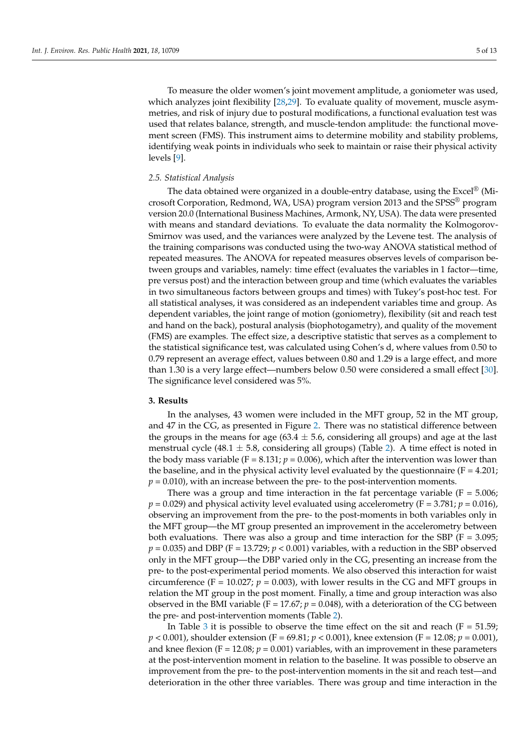To measure the older women's joint movement amplitude, a goniometer was used, which analyzes joint flexibility [\[28](#page-11-17)[,29\]](#page-11-18). To evaluate quality of movement, muscle asymmetries, and risk of injury due to postural modifications, a functional evaluation test was used that relates balance, strength, and muscle-tendon amplitude: the functional movement screen (FMS). This instrument aims to determine mobility and stability problems, identifying weak points in individuals who seek to maintain or raise their physical activity levels [\[9\]](#page-10-8).

#### *2.5. Statistical Analysis*

The data obtained were organized in a double-entry database, using the Excel<sup>®</sup> (Microsoft Corporation, Redmond, WA, USA) program version 2013 and the SPSS® program version 20.0 (International Business Machines, Armonk, NY, USA). The data were presented with means and standard deviations. To evaluate the data normality the Kolmogorov-Smirnov was used, and the variances were analyzed by the Levene test. The analysis of the training comparisons was conducted using the two-way ANOVA statistical method of repeated measures. The ANOVA for repeated measures observes levels of comparison between groups and variables, namely: time effect (evaluates the variables in 1 factor—time, pre versus post) and the interaction between group and time (which evaluates the variables in two simultaneous factors between groups and times) with Tukey's post-hoc test. For all statistical analyses, it was considered as an independent variables time and group. As dependent variables, the joint range of motion (goniometry), flexibility (sit and reach test and hand on the back), postural analysis (biophotogametry), and quality of the movement (FMS) are examples. The effect size, a descriptive statistic that serves as a complement to the statistical significance test, was calculated using Cohen's d, where values from 0.50 to 0.79 represent an average effect, values between 0.80 and 1.29 is a large effect, and more than 1.30 is a very large effect—numbers below 0.50 were considered a small effect [\[30\]](#page-11-19). The significance level considered was 5%.

#### **3. Results**

In the analyses, 43 women were included in the MFT group, 52 in the MT group, and 47 in the CG, as presented in Figure [2.](#page-5-0) There was no statistical difference between the groups in the means for age (63.4  $\pm$  5.6, considering all groups) and age at the last menstrual cycle (48.1  $\pm$  5.8, considering all groups) (Table [2\)](#page-6-0). A time effect is noted in the body mass variable ( $F = 8.131$ ;  $p = 0.006$ ), which after the intervention was lower than the baseline, and in the physical activity level evaluated by the questionnaire ( $F = 4.201$ ;  $p = 0.010$ ), with an increase between the pre- to the post-intervention moments.

There was a group and time interaction in the fat percentage variable ( $F = 5.006$ ;  $p = 0.029$ ) and physical activity level evaluated using accelerometry (F = 3.781;  $p = 0.016$ ), observing an improvement from the pre- to the post-moments in both variables only in the MFT group—the MT group presented an improvement in the accelerometry between both evaluations. There was also a group and time interaction for the SBP ( $F = 3.095$ ;  $p = 0.035$ ) and DBP (F = 13.729;  $p < 0.001$ ) variables, with a reduction in the SBP observed only in the MFT group—the DBP varied only in the CG, presenting an increase from the pre- to the post-experimental period moments. We also observed this interaction for waist circumference (F = 10.027;  $p = 0.003$ ), with lower results in the CG and MFT groups in relation the MT group in the post moment. Finally, a time and group interaction was also observed in the BMI variable ( $F = 17.67$ ;  $p = 0.048$ ), with a deterioration of the CG between the pre- and post-intervention moments (Table [2\)](#page-6-0).

In Table [3](#page-6-1) it is possible to observe the time effect on the sit and reach ( $F = 51.59$ ; *p* < 0.001), shoulder extension (F = 69.81; *p* < 0.001), knee extension (F = 12.08; *p* = 0.001), and knee flexion ( $F = 12.08$ ;  $p = 0.001$ ) variables, with an improvement in these parameters at the post-intervention moment in relation to the baseline. It was possible to observe an improvement from the pre- to the post-intervention moments in the sit and reach test—and deterioration in the other three variables. There was group and time interaction in the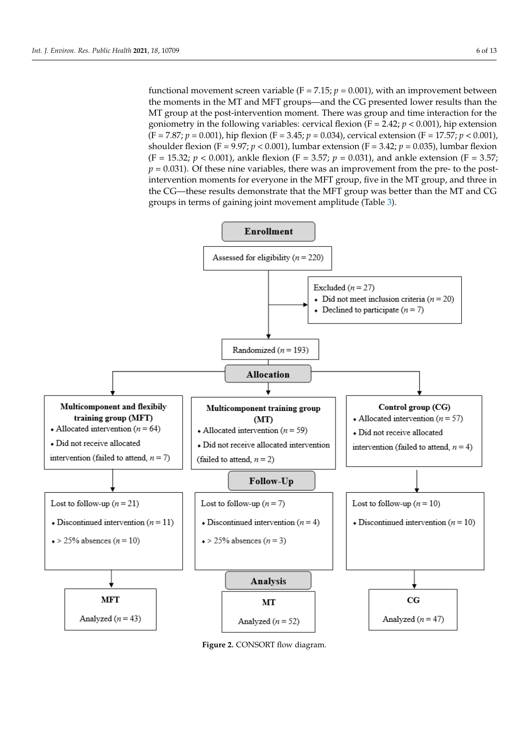functional movement screen variable ( $F = 7.15$ ;  $p = 0.001$ ), with an improvement between the moments in the MT and MFT groups—and the CG presented lower results than the MT group at the post-intervention moment. There was group and time interaction for the goniometry in the following variables: cervical flexion (F = 2.42; *p* < 0.001), hip extension (F = 7.87; *p* = 0.001), hip flexion (F = 3.45; *p* = 0.034), cervical extension (F = 17.57; *p* < 0.001), shoulder flexion (F = 9.97;  $p < 0.001$ ), lumbar extension (F = 3.42;  $p = 0.035$ ), lumbar flexion (F = 15.32;  $p < 0.001$ ), ankle flexion (F = 3.57;  $p = 0.031$ ), and ankle extension (F = 3.57;  $p = 0.031$ ). Of these nine variables, there was an improvement from the pre- to the postintervention moments for everyone in the MFT group, five in the MT group, and three in the CG—these results demonstrate that the MFT group was better than the MT and CG groups in terms of gaining joint movement amplitude (Table [3\)](#page-6-1).

<span id="page-5-0"></span>

**Figure 2.** CONSORT flow diagram. **Figure 2.** CONSORT flow diagram.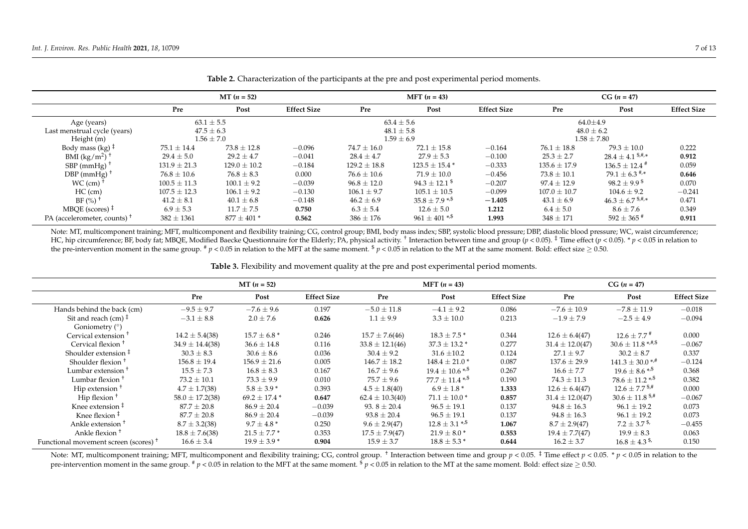|                                         | $MT (n = 52)$    |                  |                    |                  | <b>MFT</b> $(n = 43)$          |                    |                  | $CG (n = 47)$                          |                    |  |
|-----------------------------------------|------------------|------------------|--------------------|------------------|--------------------------------|--------------------|------------------|----------------------------------------|--------------------|--|
|                                         | Pre              | Post             | <b>Effect Size</b> | Pre              | Post                           | <b>Effect Size</b> | Pre              | Post                                   | <b>Effect Size</b> |  |
| Age (years)                             | $63.1 \pm 5.5$   |                  |                    |                  | $63.4 \pm 5.6$                 |                    |                  | $64.0 \pm 4.9$                         |                    |  |
| Last menstrual cycle (years)            | $47.5 \pm 6.3$   |                  |                    |                  | $48.1 \pm 5.8$                 |                    | $48.0 \pm 6.2$   |                                        |                    |  |
| Height (m)                              | $1.56 \pm 7.0$   |                  | $1.59 \pm 6.9$     |                  |                                |                    | $1.58 \pm 7.80$  |                                        |                    |  |
| Body mass (kg) $\ddagger$               | $75.1 \pm 14.4$  | $73.8 \pm 12.8$  | $-0.096$           | $74.7 \pm 16.0$  | $72.1 \pm 15.8$                | $-0.164$           | $76.1 \pm 18.8$  | $79.3 \pm 10.0$                        | 0.222              |  |
| BMI $(kg/m^2)$ <sup>+</sup>             | $29.4 \pm 5.0$   | $29.2 \pm 4.7$   | $-0.041$           | $28.4 \pm 4.7$   | $27.9 \pm 5.3$                 | $-0.100$           | $25.3 \pm 2.7$   | $28.4 \pm 4.1$ \$,#,*                  | 0.912              |  |
| SBP (mmHg) $\overline{ }$               | $131.9 \pm 21.3$ | $129.0 \pm 10.2$ | $-0.184$           | $129.2 \pm 18.8$ | $123.5 \pm 15.4$ *             | $-0.333$           | $135.6 \pm 17.9$ | $136.5 \pm 12.4$ <sup>#</sup>          | 0.059              |  |
| $DBP$ (mmHg)                            | $76.8 \pm 10.6$  | $76.8 \pm 8.3$   | 0.000              | $76.6 \pm 10.6$  | $71.9 \pm 10.0$                | $-0.456$           | $73.8 \pm 10.1$  | $79.1 \pm 6.3$ <sup>#,*</sup>          | 0.646              |  |
| $WC$ (cm)                               | $100.5 \pm 11.3$ | $100.1 \pm 9.2$  | $-0.039$           | $96.8 \pm 12.0$  | $94.3 \pm 12.1$ <sup>\$</sup>  | $-0.207$           | $97.4 \pm 12.9$  | $98.2 + 9.9$ <sup>\$</sup>             | 0.070              |  |
| $HC$ (cm)                               | $107.5 \pm 12.3$ | $106.1 \pm 9.2$  | $-0.130$           | $106.1 \pm 9.7$  | $105.1 \pm 10.5$               | $-0.099$           | $107.0 \pm 10.7$ | $104.6 \pm 9.2$                        | $-0.241$           |  |
| $BF$ (%) <sup>+</sup>                   | $41.2 \pm 8.1$   | $40.1 \pm 6.8$   | $-0.148$           | $46.2 \pm 6.9$   | $35.8 \pm 7.9$ <sup>*/\$</sup> | $-1.405$           | $43.1 \pm 6.9$   | $46.3 \pm 6.7$ $\substack{\$,\#,\ast}$ | 0.471              |  |
| MBOE (scores) $\ddagger$                | $6.9 \pm 5.3$    | $11.7 \pm 7.5$   | 0.750              | $6.3 \pm 5.4$    | $12.6 \pm 5.0$                 | 1.212              | $6.4 \pm 5.0$    | $8.6 \pm 7.6$                          | 0.349              |  |
| PA (accelerometer, counts) <sup>†</sup> | $382 \pm 1361$   | $877 \pm 401$ *  | 0.562              | $386 \pm 176$    | $961 \pm 401$ * <sup>,\$</sup> | 1.993              | $348 \pm 171$    | $592 \pm 365$ #                        | 0.911              |  |

**Table 2.** Characterization of the participants at the pre and post experimental period moments.

Note: MT, multicomponent training; MFT, multicomponent and flexibility training; CG, control group; BMI, body mass index; SBP, systolic blood pressure; DBP, diastolic blood pressure; WC, waist circumference; HC, hip circumference; BF, body fat; MBQE, Modified Baecke Questionnaire for the Elderly; PA, physical activity. <sup>†</sup> Interaction between time and group (p < 0.05). <sup>‡</sup> Time effect (p < 0.05). \* p < 0.05 in relation to the pre-intervention moment in the same group.  $\frac{h}{2}$   $p < 0.05$  in relation to the MFT at the same moment.  $\frac{h}{2}$   $p < 0.05$  in relation to the MT at the same moment. Bold: effect size  $\geq 0.50$ .

**Table 3.** Flexibility and movement quality at the pre and post experimental period moments.

<span id="page-6-0"></span>

|                                                        | $MT (n = 52)$       |                   |                    |                     | <b>MFT</b> $(n = 43)$           |                    |                     | $CG (n = 47)$                   |                    |  |
|--------------------------------------------------------|---------------------|-------------------|--------------------|---------------------|---------------------------------|--------------------|---------------------|---------------------------------|--------------------|--|
|                                                        | Pre                 | Post              | <b>Effect Size</b> | Pre                 | Post                            | <b>Effect Size</b> | Pre                 | Post                            | <b>Effect Size</b> |  |
| Hands behind the back (cm)                             | $-9.5 \pm 9.7$      | $-7.6 \pm 9.6$    | 0.197              | $-5.0 \pm 11.8$     | $-4.1 \pm 9.2$                  | 0.086              | $-7.6 \pm 10.9$     | $-7.8 \pm 11.9$                 | $-0.018$           |  |
| Sit and reach (cm) $\ddagger$<br>Goniometry $(^\circ)$ | $-3.1 \pm 8.8$      | $2.0 \pm 7.6$     | 0.626              | $1.1 \pm 9.9$       | $3.3 \pm 10.0$                  | 0.213              | $-1.9 \pm 7.9$      | $-2.5 \pm 4.9$                  | $-0.094$           |  |
| Cervical extension <sup>1</sup>                        | $14.2 \pm 5.4(38)$  | $15.7 \pm 6.8$ *  | 0.246              | $15.7 \pm 7.6(46)$  | $18.3 \pm 7.5$ *                | 0.344              | $12.6 \pm 6.4(47)$  | $12.6 \pm 7.7$ #                | 0.000              |  |
| Cervical flexion <sup>+</sup>                          | $34.9 \pm 14.4(38)$ | $36.6 \pm 14.8$   | 0.116              | $33.8 \pm 12.1(46)$ | $37.3 \pm 13.2$ *               | 0.277              | $31.4 \pm 12.0(47)$ | $30.6 \pm 11.8$ <sup>***</sup>  | $-0.067$           |  |
| Shoulder extension $\ddagger$                          | $30.3 \pm 8.3$      | $30.6 \pm 8.6$    | 0.036              | $30.4 \pm 9.2$      | $31.6 \pm 10.2$                 | 0.124              | $27.1 \pm 9.7$      | $30.2 \pm 8.7$                  | 0.337              |  |
| Shoulder flexion <sup>+</sup>                          | $156.8 \pm 19.4$    | $156.9 \pm 21.6$  | 0.005              | $146.7 \pm 18.2$    | $148.4 \pm 21.0*$               | 0.087              | $137.6 \pm 29.9$    | $141.3 \pm 30.0$ */*            | $-0.124$           |  |
| Lumbar extension <sup>+</sup>                          | $15.5 \pm 7.3$      | $16.8 \pm 8.3$    | 0.167              | $16.7 \pm 9.6$      | $19.4 \pm 10.6$ * <sup>\$</sup> | 0.267              | $16.6 \pm 7.7$      | $19.6 \pm 8.6$ */s              | 0.368              |  |
| Lumbar flexion <sup>1</sup>                            | $73.2 \pm 10.1$     | $73.3 \pm 9.9$    | 0.010              | $75.7 \pm 9.6$      | $77.7 \pm 11.4$ */*             | 0.190              | $74.3 \pm 11.3$     | $78.6 \pm 11.2$ <sup>*,\$</sup> | 0.382              |  |
| Hip extension <sup>1</sup>                             | $4.7 \pm 1.7(38)$   | $5.8 \pm 3.9*$    | 0.393              | $4.5 \pm 1.8(40)$   | $6.9 \pm 1.8^*$                 | 1.333              | $12.6 \pm 6.4(47)$  | $12.6 \pm 7.7$ \$ <sup>#</sup>  | 0.000              |  |
| Hip flexion $†$                                        | $58.0 \pm 17.2(38)$ | $69.2 \pm 17.4$ * | 0.647              | $62.4 \pm 10.3(40)$ | $71.1 \pm 10.0$ *               | 0.857              | $31.4 \pm 12.0(47)$ | $30.6 \pm 11.8$ \$,#            | $-0.067$           |  |
| Knee extension $\ddagger$                              | $87.7 \pm 20.8$     | $86.9 \pm 20.4$   | $-0.039$           | 93. $8 \pm 20.4$    | $96.5 \pm 19.1$                 | 0.137              | $94.8 \pm 16.3$     | $96.1 \pm 19.2$                 | 0.073              |  |
| Knee flexion $‡$                                       | $87.7 \pm 20.8$     | $86.9 \pm 20.4$   | $-0.039$           | $93.8 \pm 20.4$     | $96.5 \pm 19.1$                 | 0.137              | $94.8 \pm 16.3$     | $96.1 \pm 19.2$                 | 0.073              |  |
| Ankle extension <sup>1</sup>                           | $8.7 \pm 3.2(38)$   | $9.7 \pm 4.8^*$   | 0.250              | $9.6 \pm 2.9(47)$   | $12.8 \pm 3.1$ */*              | 1.067              | $8.7 \pm 2.9(47)$   | $7.2 \pm 3.7$ \$                | $-0.455$           |  |
| Ankle flexion <sup>+</sup>                             | $18.8 \pm 7.6(38)$  | $21.5 \pm 7.7$ *  | 0.353              | $17.5 \pm 7.9(47)$  | $21.9 \pm 8.0^*$                | 0.553              | $19.4 \pm 7.7(47)$  | $19.9 \pm 8.3$                  | 0.063              |  |
| Functional movement screen (scores) $^{\dagger}$       | $16.6 \pm 3.4$      | $19.9 \pm 3.9$ *  | 0.904              | $15.9 \pm 3.7$      | $18.8 \pm 5.3$ *                | 0.644              | $16.2 \pm 3.7$      | $16.8 \pm 4.3$ <sup>\$</sup>    | 0.150              |  |

<span id="page-6-1"></span>Note: MT, multicomponent training; MFT, multicomponent and flexibility training; CG, control group. <sup>†</sup> Interaction between time and group  $p < 0.05$ . <sup>‡</sup> Time effect  $p < 0.05$ . \*  $p < 0.05$  in relation to the pre-intervention moment in the same group. #  $p < 0.05$  in relation to the MFT at the same moment.  $\frac{p}{p} < 0.05$  in relation to the MT at the same moment. Bold: effect size  $\geq 0.50$ .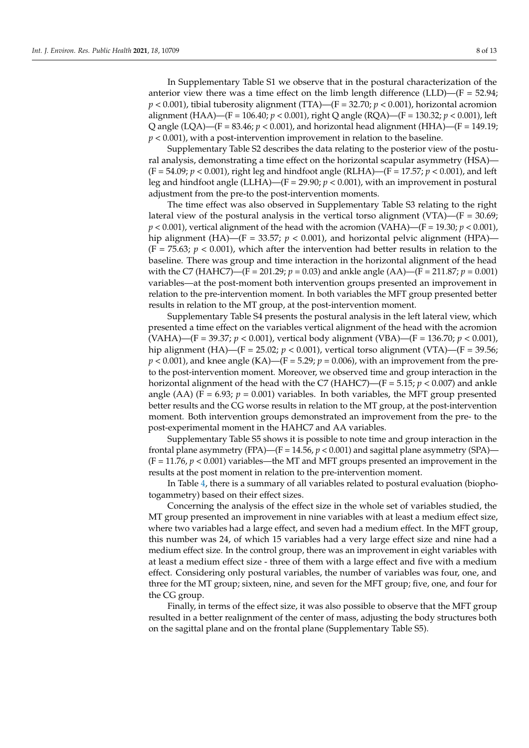In Supplementary Table S1 we observe that in the postural characterization of the anterior view there was a time effect on the limb length difference (LLD)— $(F = 52.94;$  $p < 0.001$ ), tibial tuberosity alignment (TTA)—(F = 32.70;  $p < 0.001$ ), horizontal acromion alignment (HAA)—(F = 106.40; *p* < 0.001), right Q angle (RQA)—(F = 130.32; *p* < 0.001), left Q angle (LQA)—(F = 83.46; *p* < 0.001), and horizontal head alignment (HHA)—(F = 149.19; *p* < 0.001), with a post-intervention improvement in relation to the baseline.

Supplementary Table S2 describes the data relating to the posterior view of the postural analysis, demonstrating a time effect on the horizontal scapular asymmetry (HSA)—  $(F = 54.09; p < 0.001)$ , right leg and hindfoot angle (RLHA)—(F = 17.57;  $p < 0.001$ ), and left leg and hindfoot angle (LLHA)—( $F = 29.90; p < 0.001$ ), with an improvement in postural adjustment from the pre-to the post-intervention moments.

The time effect was also observed in Supplementary Table S3 relating to the right lateral view of the postural analysis in the vertical torso alignment (VTA)—( $F = 30.69$ ;  $p < 0.001$ ), vertical alignment of the head with the acromion (VAHA)—(F = 19.30;  $p < 0.001$ ), hip alignment (HA)—(F = 33.57;  $p < 0.001$ ), and horizontal pelvic alignment (HPA)—  $(F = 75.63; p < 0.001)$ , which after the intervention had better results in relation to the baseline. There was group and time interaction in the horizontal alignment of the head with the C7 (HAHC7)—(F = 201.29; *p* = 0.03) and ankle angle (AA)—(F = 211.87; *p* = 0.001) variables—at the post-moment both intervention groups presented an improvement in relation to the pre-intervention moment. In both variables the MFT group presented better results in relation to the MT group, at the post-intervention moment.

Supplementary Table S4 presents the postural analysis in the left lateral view, which presented a time effect on the variables vertical alignment of the head with the acromion (VAHA)—(F = 39.37; *p* < 0.001), vertical body alignment (VBA)—(F = 136.70; *p* < 0.001), hip alignment (HA)—(F = 25.02; *p* < 0.001), vertical torso alignment (VTA)—(F = 39.56;  $p < 0.001$ ), and knee angle (KA)—(F = 5.29;  $p = 0.006$ ), with an improvement from the preto the post-intervention moment. Moreover, we observed time and group interaction in the horizontal alignment of the head with the C7 (HAHC7)—(F = 5.15; *p* < 0.007) and ankle angle (AA) (F = 6.93;  $p = 0.001$ ) variables. In both variables, the MFT group presented better results and the CG worse results in relation to the MT group, at the post-intervention moment. Both intervention groups demonstrated an improvement from the pre- to the post-experimental moment in the HAHC7 and AA variables.

Supplementary Table S5 shows it is possible to note time and group interaction in the frontal plane asymmetry (FPA)—(F = 14.56,  $p < 0.001$ ) and sagittal plane asymmetry (SPA)—  $(F = 11.76, p < 0.001)$  variables—the MT and MFT groups presented an improvement in the results at the post moment in relation to the pre-intervention moment.

In Table [4,](#page-8-0) there is a summary of all variables related to postural evaluation (biophotogammetry) based on their effect sizes.

Concerning the analysis of the effect size in the whole set of variables studied, the MT group presented an improvement in nine variables with at least a medium effect size, where two variables had a large effect, and seven had a medium effect. In the MFT group, this number was 24, of which 15 variables had a very large effect size and nine had a medium effect size. In the control group, there was an improvement in eight variables with at least a medium effect size - three of them with a large effect and five with a medium effect. Considering only postural variables, the number of variables was four, one, and three for the MT group; sixteen, nine, and seven for the MFT group; five, one, and four for the CG group.

Finally, in terms of the effect size, it was also possible to observe that the MFT group resulted in a better realignment of the center of mass, adjusting the body structures both on the sagittal plane and on the frontal plane (Supplementary Table S5).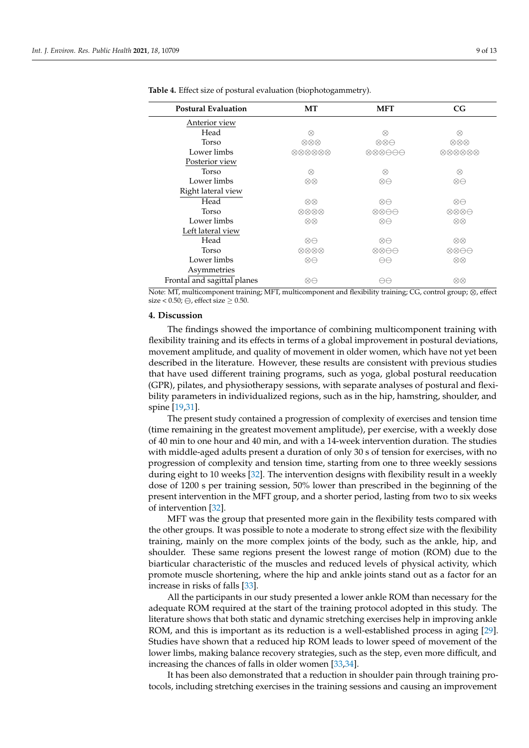| <b>Postural Evaluation</b>  | МT                                                | <b>MFT</b>                                                                     | CG                                                |
|-----------------------------|---------------------------------------------------|--------------------------------------------------------------------------------|---------------------------------------------------|
| Anterior view               |                                                   |                                                                                |                                                   |
| Head                        | $\otimes$                                         | $\otimes$                                                                      | ⊗                                                 |
| Torso                       | ⊗⊗⊗                                               | $\otimes \otimes \ominus$                                                      | $\otimes \otimes \otimes$                         |
| Lower limbs                 | $\oslash \oslash \oslash \oslash \oslash \oslash$ | $\begin{array}{c} \otimes \otimes \otimes \ominus \ominus \ominus \end{array}$ | $\oslash \oslash \oslash \oslash \oslash \oslash$ |
| Posterior view              |                                                   |                                                                                |                                                   |
| Torso                       | ⊗                                                 | $\otimes$                                                                      | $\otimes$                                         |
| Lower limbs                 | $\otimes\otimes$                                  | $\otimes \ominus$                                                              | $\otimes \ominus$                                 |
| Right lateral view          |                                                   |                                                                                |                                                   |
| Head                        | $\otimes\otimes$                                  | $\otimes \ominus$                                                              | $\otimes \ominus$                                 |
| Torso                       | $\oslash \oslash \oslash \oslash$                 | $\otimes \otimes \ominus \ominus$                                              | ⊗⊗⊗⊖                                              |
| Lower limbs                 | $\otimes\otimes$                                  | $\otimes \ominus$                                                              | $\otimes\otimes$                                  |
| Left lateral view           |                                                   |                                                                                |                                                   |
| Head                        | $\otimes \ominus$                                 | $\otimes \ominus$                                                              | $\otimes\otimes$                                  |
| Torso                       | $\oslash \oslash \oslash \oslash$                 | ⊗⊗⊖⊖                                                                           | ⊗⊗⊖⊖                                              |
| Lower limbs                 | ⊗⊖                                                | $\ominus \ominus$                                                              | $\otimes\otimes$                                  |
| Asymmetries                 |                                                   |                                                                                |                                                   |
| Frontal and sagittal planes | ⊗⊖                                                | Aθ                                                                             | ⊗⊗                                                |

<span id="page-8-0"></span>**Table 4.** Effect size of postural evaluation (biophotogammetry).

Note: MT, multicomponent training; MFT, multicomponent and flexibility training; CG, control group; ⊗, effect size <  $0.50$ ;  $\bigoplus$ , effect size  $\geq 0.50$ .

#### **4. Discussion**

The findings showed the importance of combining multicomponent training with flexibility training and its effects in terms of a global improvement in postural deviations, movement amplitude, and quality of movement in older women, which have not yet been described in the literature. However, these results are consistent with previous studies that have used different training programs, such as yoga, global postural reeducation (GPR), pilates, and physiotherapy sessions, with separate analyses of postural and flexibility parameters in individualized regions, such as in the hip, hamstring, shoulder, and spine [\[19,](#page-11-8)[31\]](#page-11-20).

The present study contained a progression of complexity of exercises and tension time (time remaining in the greatest movement amplitude), per exercise, with a weekly dose of 40 min to one hour and 40 min, and with a 14-week intervention duration. The studies with middle-aged adults present a duration of only 30 s of tension for exercises, with no progression of complexity and tension time, starting from one to three weekly sessions during eight to 10 weeks [\[32\]](#page-11-21). The intervention designs with flexibility result in a weekly dose of 1200 s per training session, 50% lower than prescribed in the beginning of the present intervention in the MFT group, and a shorter period, lasting from two to six weeks of intervention [\[32\]](#page-11-21).

MFT was the group that presented more gain in the flexibility tests compared with the other groups. It was possible to note a moderate to strong effect size with the flexibility training, mainly on the more complex joints of the body, such as the ankle, hip, and shoulder. These same regions present the lowest range of motion (ROM) due to the biarticular characteristic of the muscles and reduced levels of physical activity, which promote muscle shortening, where the hip and ankle joints stand out as a factor for an increase in risks of falls [\[33\]](#page-11-22).

All the participants in our study presented a lower ankle ROM than necessary for the adequate ROM required at the start of the training protocol adopted in this study. The literature shows that both static and dynamic stretching exercises help in improving ankle ROM, and this is important as its reduction is a well-established process in aging [\[29\]](#page-11-18). Studies have shown that a reduced hip ROM leads to lower speed of movement of the lower limbs, making balance recovery strategies, such as the step, even more difficult, and increasing the chances of falls in older women [\[33](#page-11-22)[,34\]](#page-11-23).

It has been also demonstrated that a reduction in shoulder pain through training protocols, including stretching exercises in the training sessions and causing an improvement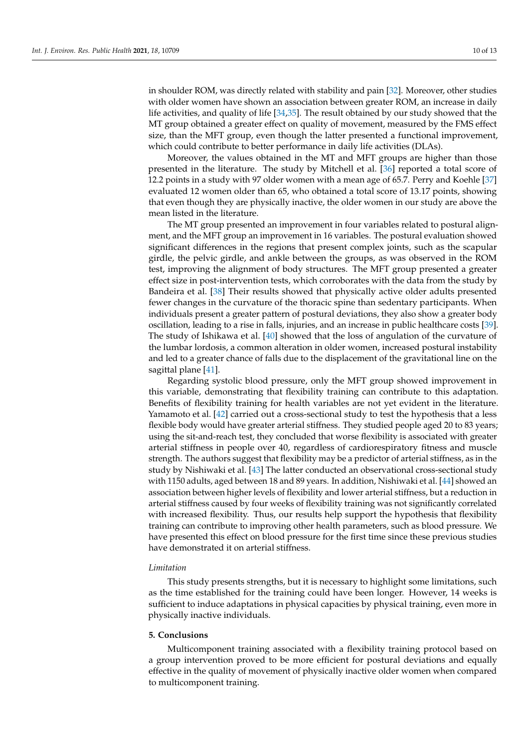in shoulder ROM, was directly related with stability and pain [\[32\]](#page-11-21). Moreover, other studies with older women have shown an association between greater ROM, an increase in daily life activities, and quality of life [\[34,](#page-11-23)[35\]](#page-11-24). The result obtained by our study showed that the MT group obtained a greater effect on quality of movement, measured by the FMS effect size, than the MFT group, even though the latter presented a functional improvement, which could contribute to better performance in daily life activities (DLAs).

Moreover, the values obtained in the MT and MFT groups are higher than those presented in the literature. The study by Mitchell et al. [\[36\]](#page-11-25) reported a total score of 12.2 points in a study with 97 older women with a mean age of 65.7. Perry and Koehle [\[37\]](#page-11-26) evaluated 12 women older than 65, who obtained a total score of 13.17 points, showing that even though they are physically inactive, the older women in our study are above the mean listed in the literature.

The MT group presented an improvement in four variables related to postural alignment, and the MFT group an improvement in 16 variables. The postural evaluation showed significant differences in the regions that present complex joints, such as the scapular girdle, the pelvic girdle, and ankle between the groups, as was observed in the ROM test, improving the alignment of body structures. The MFT group presented a greater effect size in post-intervention tests, which corroborates with the data from the study by Bandeira et al. [\[38\]](#page-12-0) Their results showed that physically active older adults presented fewer changes in the curvature of the thoracic spine than sedentary participants. When individuals present a greater pattern of postural deviations, they also show a greater body oscillation, leading to a rise in falls, injuries, and an increase in public healthcare costs [\[39\]](#page-12-1). The study of Ishikawa et al. [\[40\]](#page-12-2) showed that the loss of angulation of the curvature of the lumbar lordosis, a common alteration in older women, increased postural instability and led to a greater chance of falls due to the displacement of the gravitational line on the sagittal plane [\[41\]](#page-12-3).

Regarding systolic blood pressure, only the MFT group showed improvement in this variable, demonstrating that flexibility training can contribute to this adaptation. Benefits of flexibility training for health variables are not yet evident in the literature. Yamamoto et al. [\[42\]](#page-12-4) carried out a cross-sectional study to test the hypothesis that a less flexible body would have greater arterial stiffness. They studied people aged 20 to 83 years; using the sit-and-reach test, they concluded that worse flexibility is associated with greater arterial stiffness in people over 40, regardless of cardiorespiratory fitness and muscle strength. The authors suggest that flexibility may be a predictor of arterial stiffness, as in the study by Nishiwaki et al. [\[43\]](#page-12-5) The latter conducted an observational cross-sectional study with 1150 adults, aged between 18 and 89 years. In addition, Nishiwaki et al. [\[44\]](#page-12-6) showed an association between higher levels of flexibility and lower arterial stiffness, but a reduction in arterial stiffness caused by four weeks of flexibility training was not significantly correlated with increased flexibility. Thus, our results help support the hypothesis that flexibility training can contribute to improving other health parameters, such as blood pressure. We have presented this effect on blood pressure for the first time since these previous studies have demonstrated it on arterial stiffness.

## *Limitation*

This study presents strengths, but it is necessary to highlight some limitations, such as the time established for the training could have been longer. However, 14 weeks is sufficient to induce adaptations in physical capacities by physical training, even more in physically inactive individuals.

## **5. Conclusions**

Multicomponent training associated with a flexibility training protocol based on a group intervention proved to be more efficient for postural deviations and equally effective in the quality of movement of physically inactive older women when compared to multicomponent training.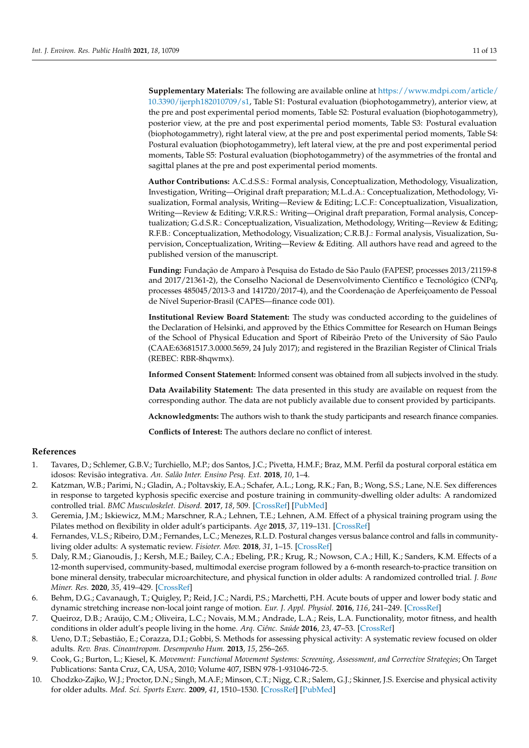**Supplementary Materials:** The following are available online at [https://www.mdpi.com/article/](https://www.mdpi.com/article/10.3390/ijerph182010709/s1) [10.3390/ijerph182010709/s1,](https://www.mdpi.com/article/10.3390/ijerph182010709/s1) Table S1: Postural evaluation (biophotogammetry), anterior view, at the pre and post experimental period moments, Table S2: Postural evaluation (biophotogammetry), posterior view, at the pre and post experimental period moments, Table S3: Postural evaluation (biophotogammetry), right lateral view, at the pre and post experimental period moments, Table S4: Postural evaluation (biophotogammetry), left lateral view, at the pre and post experimental period moments, Table S5: Postural evaluation (biophotogammetry) of the asymmetries of the frontal and sagittal planes at the pre and post experimental period moments.

**Author Contributions:** A.C.d.S.S.: Formal analysis, Conceptualization, Methodology, Visualization, Investigation, Writing—Original draft preparation; M.L.d.A.: Conceptualization, Methodology, Visualization, Formal analysis, Writing—Review & Editing; L.C.F.: Conceptualization, Visualization, Writing—Review & Editing; V.R.R.S.: Writing—Original draft preparation, Formal analysis, Conceptualization; G.d.S.R.: Conceptualization, Visualization, Methodology, Writing—Review & Editing; R.F.B.: Conceptualization, Methodology, Visualization; C.R.B.J.: Formal analysis, Visualization, Supervision, Conceptualization, Writing—Review & Editing. All authors have read and agreed to the published version of the manuscript.

**Funding:** Fundação de Amparo à Pesquisa do Estado de São Paulo (FAPESP, processes 2013/21159-8 and 2017/21361-2), the Conselho Nacional de Desenvolvimento Científico e Tecnológico (CNPq, processes 485045/2013-3 and 141720/2017-4), and the Coordenação de Aperfeiçoamento de Pessoal de Nível Superior-Brasil (CAPES—finance code 001).

**Institutional Review Board Statement:** The study was conducted according to the guidelines of the Declaration of Helsinki, and approved by the Ethics Committee for Research on Human Beings of the School of Physical Education and Sport of Ribeirão Preto of the University of São Paulo (CAAE:63681517.3.0000.5659, 24 July 2017); and registered in the Brazilian Register of Clinical Trials (REBEC: RBR-8hqwmx).

**Informed Consent Statement:** Informed consent was obtained from all subjects involved in the study.

**Data Availability Statement:** The data presented in this study are available on request from the corresponding author. The data are not publicly available due to consent provided by participants.

**Acknowledgments:** The authors wish to thank the study participants and research finance companies.

**Conflicts of Interest:** The authors declare no conflict of interest.

## **References**

- <span id="page-10-0"></span>1. Tavares, D.; Schlemer, G.B.V.; Turchiello, M.P.; dos Santos, J.C.; Pivetta, H.M.F.; Braz, M.M. Perfil da postural corporal estática em idosos: Revisão integrativa. *An. Salão Inter. Ensino Pesq. Ext.* **2018**, *10*, 1–4.
- <span id="page-10-1"></span>2. Katzman, W.B.; Parimi, N.; Gladin, A.; Poltavskiy, E.A.; Schafer, A.L.; Long, R.K.; Fan, B.; Wong, S.S.; Lane, N.E. Sex differences in response to targeted kyphosis specific exercise and posture training in community-dwelling older adults: A randomized controlled trial. *BMC Musculoskelet. Disord.* **2017**, *18*, 509. [\[CrossRef\]](http://doi.org/10.1186/s12891-017-1862-0) [\[PubMed\]](http://www.ncbi.nlm.nih.gov/pubmed/29202732)
- <span id="page-10-2"></span>3. Geremia, J.M.; Iskiewicz, M.M.; Marschner, R.A.; Lehnen, T.E.; Lehnen, A.M. Effect of a physical training program using the Pilates method on flexibility in older adult's participants. *Age* **2015**, *37*, 119–131. [\[CrossRef\]](http://doi.org/10.1007/s11357-015-9856-z)
- <span id="page-10-3"></span>4. Fernandes, V.L.S.; Ribeiro, D.M.; Fernandes, L.C.; Menezes, R.L.D. Postural changes versus balance control and falls in communityliving older adults: A systematic review. *Fisioter. Mov.* **2018**, *31*, 1–15. [\[CrossRef\]](http://doi.org/10.1590/1980-5918.031.ao25)
- <span id="page-10-4"></span>5. Daly, R.M.; Gianoudis, J.; Kersh, M.E.; Bailey, C.A.; Ebeling, P.R.; Krug, R.; Nowson, C.A.; Hill, K.; Sanders, K.M. Effects of a 12-month supervised, community-based, multimodal exercise program followed by a 6-month research-to-practice transition on bone mineral density, trabecular microarchitecture, and physical function in older adults: A randomized controlled trial. *J. Bone Miner. Res.* **2020**, *35*, 419–429. [\[CrossRef\]](http://doi.org/10.1002/jbmr.3865)
- <span id="page-10-5"></span>6. Behm, D.G.; Cavanaugh, T.; Quigley, P.; Reid, J.C.; Nardi, P.S.; Marchetti, P.H. Acute bouts of upper and lower body static and dynamic stretching increase non-local joint range of motion. *Eur. J. Appl. Physiol.* **2016**, *116*, 241–249. [\[CrossRef\]](http://doi.org/10.1007/s00421-015-3270-1)
- <span id="page-10-6"></span>7. Queiroz, D.B.; Araújo, C.M.; Oliveira, L.C.; Novais, M.M.; Andrade, L.A.; Reis, L.A. Functionality, motor fitness, and health conditions in older adult's people living in the home. *Arq. Ciênc. Saúde* **2016**, *23*, 47–53. [\[CrossRef\]](http://doi.org/10.17696/2318-3691.23.2.2016.281)
- <span id="page-10-7"></span>8. Ueno, D.T.; Sebastião, E.; Corazza, D.I.; Gobbi, S. Methods for assessing physical activity: A systematic review focused on older adults. *Rev. Bras. Cineantropom. Desempenho Hum.* **2013**, *15*, 256–265.
- <span id="page-10-8"></span>9. Cook, G.; Burton, L.; Kiesel, K. *Movement: Functional Movement Systems: Screening, Assessment, and Corrective Strategies*; On Target Publications: Santa Cruz, CA, USA, 2010; Volume 407, ISBN 978-1-931046-72-5.
- <span id="page-10-9"></span>10. Chodzko-Zajko, W.J.; Proctor, D.N.; Singh, M.A.F.; Minson, C.T.; Nigg, C.R.; Salem, G.J.; Skinner, J.S. Exercise and physical activity for older adults. *Med. Sci. Sports Exerc.* **2009**, *41*, 1510–1530. [\[CrossRef\]](http://doi.org/10.1249/MSS.0b013e3181a0c95c) [\[PubMed\]](http://www.ncbi.nlm.nih.gov/pubmed/19516148)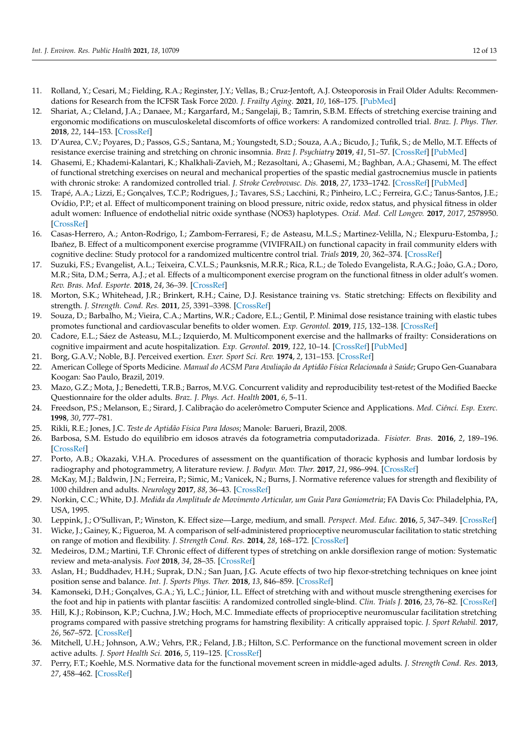- <span id="page-11-0"></span>11. Rolland, Y.; Cesari, M.; Fielding, R.A.; Reginster, J.Y.; Vellas, B.; Cruz-Jentoft, A.J. Osteoporosis in Frail Older Adults: Recommendations for Research from the ICFSR Task Force 2020. *J. Frailty Aging.* **2021**, *10*, 168–175. [\[PubMed\]](http://www.ncbi.nlm.nih.gov/pubmed/33575707)
- <span id="page-11-1"></span>12. Shariat, A.; Cleland, J.A.; Danaee, M.; Kargarfard, M.; Sangelaji, B.; Tamrin, S.B.M. Effects of stretching exercise training and ergonomic modifications on musculoskeletal discomforts of office workers: A randomized controlled trial. *Braz. J. Phys. Ther.* **2018**, *22*, 144–153. [\[CrossRef\]](http://doi.org/10.1016/j.bjpt.2017.09.003)
- <span id="page-11-2"></span>13. D'Aurea, C.V.; Poyares, D.; Passos, G.S.; Santana, M.; Youngstedt, S.D.; Souza, A.A.; Bicudo, J.; Tufik, S.; de Mello, M.T. Effects of resistance exercise training and stretching on chronic insomnia. *Braz J. Psychiatry* **2019**, *41*, 51–57. [\[CrossRef\]](http://doi.org/10.1590/1516-4446-2018-0030) [\[PubMed\]](http://www.ncbi.nlm.nih.gov/pubmed/30328967)
- <span id="page-11-3"></span>14. Ghasemi, E.; Khademi-Kalantari, K.; Khalkhali-Zavieh, M.; Rezasoltani, A.; Ghasemi, M.; Baghban, A.A.; Ghasemi, M. The effect of functional stretching exercises on neural and mechanical properties of the spastic medial gastrocnemius muscle in patients with chronic stroke: A randomized controlled trial. *J. Stroke Cerebrovasc. Dis.* **2018**, *27*, 1733–1742. [\[CrossRef\]](http://doi.org/10.1016/j.jstrokecerebrovasdis.2018.01.024) [\[PubMed\]](http://www.ncbi.nlm.nih.gov/pubmed/29706442)
- <span id="page-11-4"></span>15. Trapé, A.A.; Lizzi, E.; Gonçalves, T.C.P.; Rodrigues, J.; Tavares, S.S.; Lacchini, R.; Pinheiro, L.C.; Ferreira, G.C.; Tanus-Santos, J.E.; Ovídio, P.P.; et al. Effect of multicomponent training on blood pressure, nitric oxide, redox status, and physical fitness in older adult women: Influence of endothelial nitric oxide synthase (NOS3) haplotypes. *Oxid. Med. Cell Longev.* **2017**, *2017*, 2578950. [\[CrossRef\]](http://doi.org/10.1155/2017/2578950)
- <span id="page-11-5"></span>16. Casas-Herrero, A.; Anton-Rodrigo, I.; Zambom-Ferraresi, F.; de Asteasu, M.L.S.; Martinez-Velilla, N.; Elexpuru-Estomba, J.; Ibañez, B. Effect of a multicomponent exercise programme (VIVIFRAIL) on functional capacity in frail community elders with cognitive decline: Study protocol for a randomized multicentre control trial. *Trials* **2019**, *20*, 362–374. [\[CrossRef\]](http://doi.org/10.1186/s13063-019-3426-0)
- <span id="page-11-6"></span>17. Suzuki, F.S.; Evangelist, A.L.; Teixeira, C.V.L.S.; Paunksnis, M.R.R.; Rica, R.L.; de Toledo Evangelista, R.A.G.; João, G.A.; Doro, M.R.; Sita, D.M.; Serra, A.J.; et al. Effects of a multicomponent exercise program on the functional fitness in older adult's women. *Rev. Bras. Med. Esporte.* **2018**, *24*, 36–39. [\[CrossRef\]](http://doi.org/10.1590/1517-869220182401179669)
- <span id="page-11-7"></span>18. Morton, S.K.; Whitehead, J.R.; Brinkert, R.H.; Caine, D.J. Resistance training vs. Static stretching: Effects on flexibility and strength. *J. Strength. Cond. Res.* **2011**, *25*, 3391–3398. [\[CrossRef\]](http://doi.org/10.1519/JSC.0b013e31821624aa)
- <span id="page-11-8"></span>19. Souza, D.; Barbalho, M.; Vieira, C.A.; Martins, W.R.; Cadore, E.L.; Gentil, P. Minimal dose resistance training with elastic tubes promotes functional and cardiovascular benefits to older women. *Exp. Gerontol.* **2019**, *115*, 132–138. [\[CrossRef\]](http://doi.org/10.1016/j.exger.2018.12.001)
- <span id="page-11-9"></span>20. Cadore, E.L.; Sáez de Asteasu, M.L.; Izquierdo, M. Multicomponent exercise and the hallmarks of frailty: Considerations on cognitive impairment and acute hospitalization. *Exp. Gerontol.* **2019**, *122*, 10–14. [\[CrossRef\]](http://doi.org/10.1016/j.exger.2019.04.007) [\[PubMed\]](http://www.ncbi.nlm.nih.gov/pubmed/30995516)
- <span id="page-11-12"></span>21. Borg, G.A.V.; Noble, B.J. Perceived exertion. *Exer. Sport Sci. Rev.* **1974**, *2*, 131–153. [\[CrossRef\]](http://doi.org/10.1249/00003677-197400020-00006)
- <span id="page-11-10"></span>22. American College of Sports Medicine. *Manual do ACSM Para Avaliação da Aptidão Física Relacionada à Saúde*; Grupo Gen-Guanabara Koogan: Sao Paulo, Brazil, 2019.
- <span id="page-11-11"></span>23. Mazo, G.Z.; Mota, J.; Benedetti, T.R.B.; Barros, M.V.G. Concurrent validity and reproducibility test-retest of the Modified Baecke Questionnaire for the older adults. *Braz. J. Phys. Act. Health* **2001**, *6*, 5–11.
- <span id="page-11-13"></span>24. Freedson, P.S.; Melanson, E.; Sirard, J. Calibração do acelerômetro Computer Science and Applications. *Med. Ciênci. Esp. Exerc.* **1998**, *30*, 777–781.
- <span id="page-11-14"></span>25. Rikli, R.E.; Jones, J.C. *Teste de Aptidão Física Para Idosos*; Manole: Barueri, Brazil, 2008.
- <span id="page-11-15"></span>26. Barbosa, S.M. Estudo do equilíbrio em idosos através da fotogrametria computadorizada. *Fisioter. Bras.* **2016**, *2*, 189–196. [\[CrossRef\]](http://doi.org/10.33233/fb.v2i3.642)
- <span id="page-11-16"></span>27. Porto, A.B.; Okazaki, V.H.A. Procedures of assessment on the quantification of thoracic kyphosis and lumbar lordosis by radiography and photogrammetry, A literature review. *J. Bodyw. Mov. Ther.* **2017**, *21*, 986–994. [\[CrossRef\]](http://doi.org/10.1016/j.jbmt.2017.01.008)
- <span id="page-11-17"></span>28. McKay, M.J.; Baldwin, J.N.; Ferreira, P.; Simic, M.; Vanicek, N.; Burns, J. Normative reference values for strength and flexibility of 1000 children and adults. *Neurology* **2017**, *88*, 36–43. [\[CrossRef\]](http://doi.org/10.1212/WNL.0000000000003466)
- <span id="page-11-18"></span>29. Norkin, C.C.; White, D.J. *Medida da Amplitude de Movimento Articular, um Guia Para Goniometria*; FA Davis Co: Philadelphia, PA, USA, 1995.
- <span id="page-11-19"></span>30. Leppink, J.; O'Sullivan, P.; Winston, K. Effect size—Large, medium, and small. *Perspect. Med. Educ.* **2016**, *5*, 347–349. [\[CrossRef\]](http://doi.org/10.1007/s40037-016-0308-y)
- <span id="page-11-20"></span>31. Wicke, J.; Gainey, K.; Figueroa, M. A comparison of self-administered proprioceptive neuromuscular facilitation to static stretching on range of motion and flexibility. *J. Strength Cond. Res.* **2014**, *28*, 168–172. [\[CrossRef\]](http://doi.org/10.1519/JSC.0b013e3182956432)
- <span id="page-11-21"></span>32. Medeiros, D.M.; Martini, T.F. Chronic effect of different types of stretching on ankle dorsiflexion range of motion: Systematic review and meta-analysis. *Foot* **2018**, *34*, 28–35. [\[CrossRef\]](http://doi.org/10.1016/j.foot.2017.09.006)
- <span id="page-11-22"></span>33. Aslan, H.; Buddhadev, H.H.; Suprak, D.N.; San Juan, J.G. Acute effects of two hip flexor-stretching techniques on knee joint position sense and balance. *Int. J. Sports Phys. Ther.* **2018**, *13*, 846–859. [\[CrossRef\]](http://doi.org/10.26603/ijspt20180846)
- <span id="page-11-23"></span>34. Kamonseki, D.H.; Gonçalves, G.A.; Yi, L.C.; Júnior, I.L. Effect of stretching with and without muscle strengthening exercises for the foot and hip in patients with plantar fasciitis: A randomized controlled single-blind. *Clin. Trials J.* **2016**, *23*, 76–82. [\[CrossRef\]](http://doi.org/10.1016/j.math.2015.10.006)
- <span id="page-11-24"></span>35. Hill, K.J.; Robinson, K.P.; Cuchna, J.W.; Hoch, M.C. Immediate effects of proprioceptive neuromuscular facilitation stretching programs compared with passive stretching programs for hamstring flexibility: A critically appraised topic. *J. Sport Rehabil.* **2017**, *26*, 567–572. [\[CrossRef\]](http://doi.org/10.1123/jsr.2016-0003)
- <span id="page-11-25"></span>36. Mitchell, U.H.; Johnson, A.W.; Vehrs, P.R.; Feland, J.B.; Hilton, S.C. Performance on the functional movement screen in older active adults. *J. Sport Health Sci.* **2016**, *5*, 119–125. [\[CrossRef\]](http://doi.org/10.1016/j.jshs.2015.04.006)
- <span id="page-11-26"></span>37. Perry, F.T.; Koehle, M.S. Normative data for the functional movement screen in middle-aged adults. *J. Strength Cond. Res.* **2013**, *27*, 458–462. [\[CrossRef\]](http://doi.org/10.1519/JSC.0b013e3182576fa6)